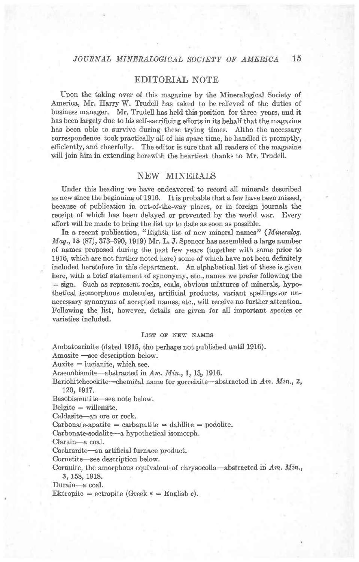# EDITORIAL NOTE

Upon the taking over of this magazine by the Mineralogical Society of America, Mr. Harry W. Trudell has asked to be relieved of the duties of business manager. Mr. Trudell has held this position for three years, and it has been largely due to his self-sacrificing efforts in its behalf that the magazine has been able to survive during these trying times. Altho the necessary correspondence took practically all of his spare time, he handled it promptly, efficiently, and cheerfully. The editor is sure that all readers of the magazine will join him in extending herewith the heartiest thanks to Mr. Trudell.

# NEW MINERALS

Under this heading we have endeavored to record all minerals described as new since the beginning of 1916. It is probable that a few have been missed, because of publication in out-of-the-way places, or in foreign journals the receipt of which has been delayed or prevented by the world war. Every effort will be made to bring the list up to date as soon as possible.

In a recent publication, "Eighth list of new mineral names" (Mineralog.  $Mag., 18 (87), 373-390, 1919)$  Mr. L. J. Spencer has assembled a large number o{ names proposed during the past few years (together with some prior to 1916, which are not further noted here) some of which have not been definitely included heretofore in this department. An alphabetical list of these is given here, with a brief statement of synonymy, etc., names we prefer following the = sign. Such as represent rocks, coals, obvious mixtures of minerals, hypothetical isomorphous molecules, artificial products, variant spellings.or unnecessary synonyms of accepted names, etc., will receive no further attention. Following the list, however, details are given for all important species or varieties included.

## LIST OF NEW NAMES

Ambatoarinite (dated 1915, tho perhaps not published until 1916). Amosite --see description below.

 $Auxite = *lucianite*, which see.$ 

Arsenobismite---abstracted in  $Am.$   $Min.,$  1, 13, 1916.

Bariohitchcockite--chemical name for gorceixite--abstracted in  $Am.$  Min., 2, 120, 1917.

Basobismutite-see note below.

 $Belgite = willemite.$ 

Caldasite-an ore or rock.

 $Carbonate-apatite = carbapatite = dahllite = podolite.$ 

Carbonate-sodalite-a hypothetical isomorph.

Clarain-a coal.

Cochranite—an artificial furnace product.

Cornetite—see description below.

Cornuite, the amorphous equivalent of chrysocolla-abstracted in Am. Min., 3, 158, 1918.

Durain-a coal.

Ektropite = ectropite (Greek  $\kappa$  = English c).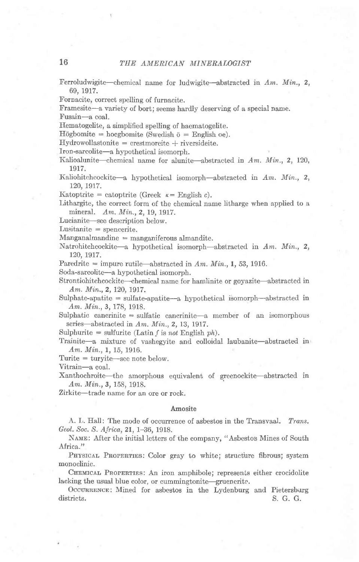Ferroludwigite-chemical name for ludwigite-abstracted in  $Am$ .  $Min$ , 2, 69. 1917.

Fornacite, correct spelling of furnacite.

Framesite-a variety of bort; seems hardly deserving of a special name.

Fusain-a coal.

Ifematogelite, a simplified spelling of haematogelite.

 $H\ddot{o}gbomite = hoegbomite$  (Swedish  $\ddot{o} =$  English  $oe$ ).

 $Hydrowollastonite = \text{crestmoreite} + \text{riversideite}.$ 

Iron-sarcolite-a hypothetical isomorph.

Kalioalunite-chemical name for alunite-abstracted in  $Am.$   $Min.$ , 2, 120, 1917.

Kaliohitchcockite-a hypothetical isomorph-abstracted in Am. Min., 2, 120, 1917.

Katoptrite = catoptrite (Greek  $\kappa =$  English c).

Lithargite, the correct form of the chemical name litharge when applied to a mineral. Am. Min., 2, 19, 1917.

Lucianite-see description below.

 $Lusitanite = \text{spencerite}.$ 

 $Manganalmandine = manganiferous almandite.$ 

Natrohitchcockite-a hypothetical isomorph-abstracted in  $Am$ . Min., 2, 120, 1917.

Paredrite = impure rutile-abstracted in Am. Min., 1, 53, 1916.

Soda-sarcolite-a hypothetical isomorph.

Strontiohitchcockite---chemical name for hamlinite or goyazite---abstracted in Am. Min., 2, 120, 1917.

Sulphate-apatite  $=$  sulfate-apatite—a hypothetical isomorph—abstracted in Am. Min., 3, 178, 1918.

Sulphatic cancrinite  $=$  sulfatic cancrinite-a member of an isomorphous series-abstracted in  $Am.$   $Min., 2, 13, 1917.$ 

Sulphurite = sulfurite (Latin f is not English ph).

Trainite-a mixture of vashegyite and colloidal laubanite-abstracted in Am. Min., 1, 15, 1916.

 $T$ urite  $=$  turyite—see note below.

Vitrain-a coal.

Xanthochroite-the amorphous equivalent of greenockite-abstracted in Am. Min., 3, 158, 1918.

Zirkite-trade name for an ore or rock.

## Amosite

A. L. Hall: The mode of occurrence of asbestos in the Transvaal. Trans. Geol. Soc. S. Africa,2l, 1-36, 1918.

NAME: After the initial letters of the company, "Asbestos Mines of South Africa."

PHYSICAL PROPERTIES: Color gray to white; structure fibrous; system monoclinic.

CHEMICAL PROPERTIES: An iron amphibole; represents either crocidolite lacking the usual blue color, or cummingtonite-gruenerite.

OCCURRENCE: Mined for asbestos in the Lydenburg and Pietersburg districts. S. G. G. G.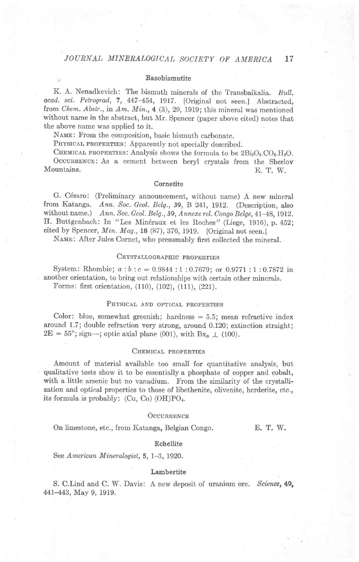### Basobismutite

K. A. Nenadkevich: The bismuth minerals of the Transbaikalia. Bull. acad. sci. Petrograd, 7, 447-454, 1917. [Original not seen.] Abstracted, from Chem. Abstr., in Am. Min., 4 (3), 29, 1919; this mineral was mentioned without name in the abstract, but Mr. Spencer (paper above cited) notes that the above name was applied to it.

NAME: From the composition, basic bismuth carbonate.

PHYSICAL PROPERTIES: Apparently not specially described.

CHEMICAL PROPERTIES: Analysis shows the formula to be  $2Bi<sub>2</sub>O<sub>3</sub>CO<sub>2</sub>H<sub>2</sub>O$ . OCCURRENCE: As a cement between beryl crystals from the Sherlov Mountains. E. T. W.

## **Cornetite**

G. C6saro: (Preliminary announcement, without name) A new mineral from Katanga. Ann. Soc. Geol. Belg., 39, B 241, 1912. (Description, also without name.) Ann. Soc. Geol. Belg., 39, Annexe rel. Congo Belge, 41-48, 1912. H. Buttgenbach: In "Les Minéraux et les Roches" (Liege, 1916), p. 452; cited by Spencer, Min. Mag., 18  $(87)$ , 376, 1919. [Original not seen.]

NAME: After Jules Cornet, who presumably first collected the mineral.

## CRYSTALLOGRAPHIC PROPERTIES

System: Rhombic;  $a:b:c= 0.9844:1:0.7679$ ; or 0.9771 : 1:0.7872 in another orientation, to bring out relationships with certain other minerals. Forms: first orientation, (110), (102), (111), (221).

## PHYSICAL AND OPTICAL PROPERTIES

Color: blue, somewhat greenish; hardness  $= 5.5$ ; mean refractive index around 1.7; double refraction very strong, around 0.120; extinction straight;  $2E = 55^{\circ}$ ; sign-; optic axial plane (001), with  $Bx_a \perp (100)$ .

## CHEMICAL PROPERTIES

Amount of material available too small for quantitative analysis, but qualitative tests show it to be essentially a phosphate of copper and cobalt, with a little arsenic but no vanadium. From the similarity of the crystallization and optical properties to those of libethenite, olivenite, herderite, etc., its formula is probably:  $(Cu, Co)$   $(OH)PO<sub>4</sub>$ .

#### OCCURRENCE

On limestone, etc., from Katanga, Belgian Congo. E. T. W.

#### Echellite

See American Mineralogist,  $5, 1-3, 1920$ .

## Lambertite

S. C.Lind and C. W. Davis: A new deposit of uranium ore. Science, 49, 441-443, May 9, 1919.